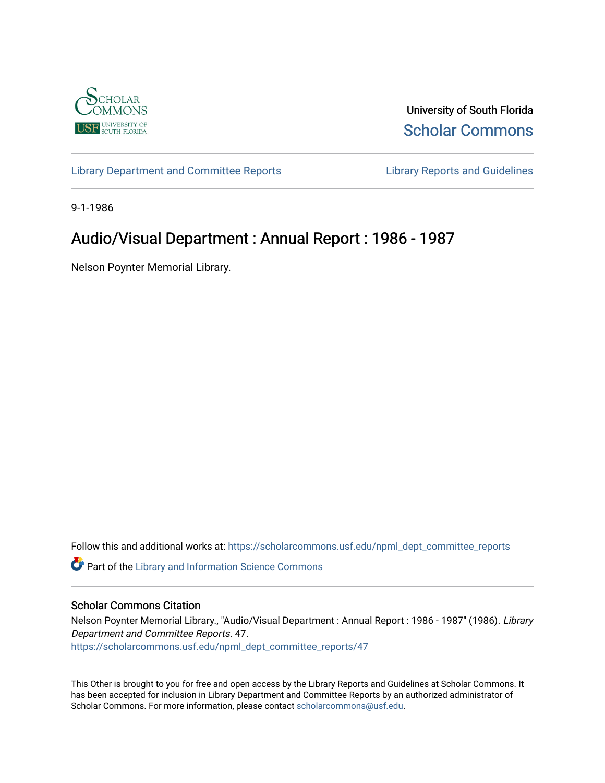

University of South Florida [Scholar Commons](https://scholarcommons.usf.edu/) 

[Library Department and Committee Reports](https://scholarcommons.usf.edu/npml_dept_committee_reports) [Library Reports and Guidelines](https://scholarcommons.usf.edu/npml_reports_guidelines_instruct_materials) 

9-1-1986

## Audio/Visual Department : Annual Report : 1986 - 1987

Nelson Poynter Memorial Library.

Follow this and additional works at: [https://scholarcommons.usf.edu/npml\\_dept\\_committee\\_reports](https://scholarcommons.usf.edu/npml_dept_committee_reports?utm_source=scholarcommons.usf.edu%2Fnpml_dept_committee_reports%2F47&utm_medium=PDF&utm_campaign=PDFCoverPages)

Part of the [Library and Information Science Commons](http://network.bepress.com/hgg/discipline/1018?utm_source=scholarcommons.usf.edu%2Fnpml_dept_committee_reports%2F47&utm_medium=PDF&utm_campaign=PDFCoverPages) 

#### Scholar Commons Citation

Nelson Poynter Memorial Library., "Audio/Visual Department : Annual Report : 1986 - 1987" (1986). Library Department and Committee Reports. 47. [https://scholarcommons.usf.edu/npml\\_dept\\_committee\\_reports/47](https://scholarcommons.usf.edu/npml_dept_committee_reports/47?utm_source=scholarcommons.usf.edu%2Fnpml_dept_committee_reports%2F47&utm_medium=PDF&utm_campaign=PDFCoverPages) 

This Other is brought to you for free and open access by the Library Reports and Guidelines at Scholar Commons. It has been accepted for inclusion in Library Department and Committee Reports by an authorized administrator of Scholar Commons. For more information, please contact [scholarcommons@usf.edu](mailto:scholarcommons@usf.edu).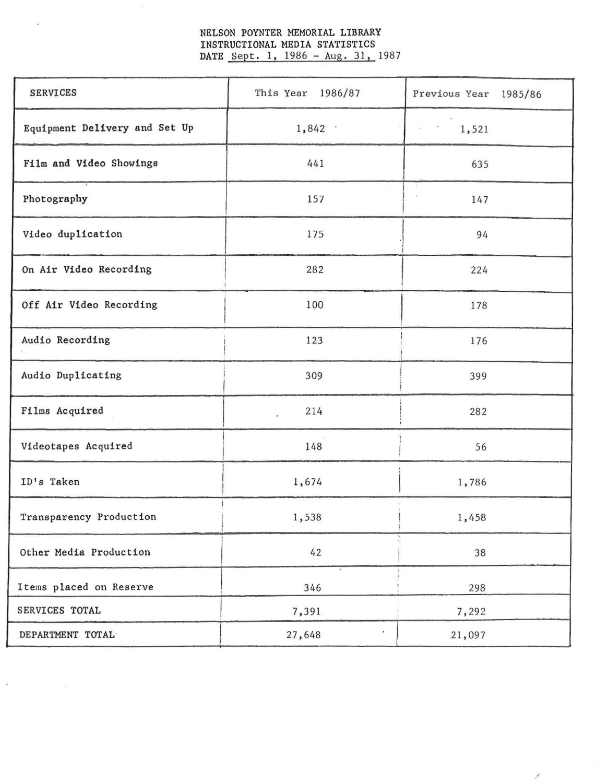# NELSON POYNTER MEMORIAL LIBRARY INSTRUCTIONAL MEDIA STATISTICS<br>DATE Sept. 1, 1986 - Aug. 31, 1987

| <b>SERVICES</b>               | This Year 1986/87 | Previous Year 1985/86 |  |
|-------------------------------|-------------------|-----------------------|--|
| Equipment Delivery and Set Up | 1,842             | 1,521                 |  |
| Film and Video Showings       | 441               | 635                   |  |
| Photography                   | 157               | 147                   |  |
| Video duplication             | 175               | 94                    |  |
| On Air Video Recording        | 282               | 224                   |  |
| Off Air Video Recording       | 100               | 178                   |  |
| Audio Recording               | 123               | 176                   |  |
| Audio Duplicating             | 309               | 399                   |  |
| Films Acquired                | 214<br>¥          | 282                   |  |
| Videotapes Acquired           | 148               | 56                    |  |
| ID's Taken                    | 1,674             | 1,786                 |  |
| Transparency Production       | 1,538             | 1,458                 |  |
| Other Media Production        | 42                | 38                    |  |
| Items placed on Reserve       | 346               | 298                   |  |
| SERVICES TOTAL                | 7,391             | 7,292                 |  |
| DEPARTMENT TOTAL              | ×<br>27,648       | 21,097                |  |

 $\mathcal{E}$ 

í.